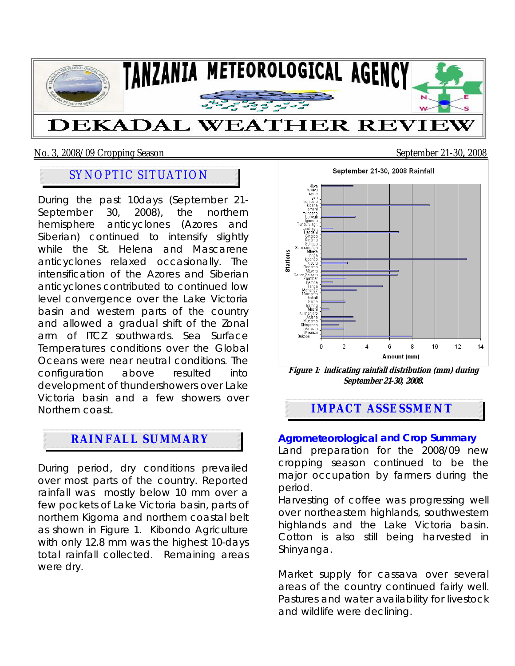

No. 3, 2008/09 Cropping Season September 21-30**,** 2008

# SYNOPTIC SITUATION

During the past 10days (September 21- September 30, 2008), the northern hemisphere anticyclones (Azores and Siberian) continued to intensify slightly while the St. Helena and Mascarene anticyclones relaxed occasionally. The intensification of the Azores and Siberian anticyclones contributed to continued low level convergence over the Lake Victoria basin and western parts of the country and allowed a gradual shift of the Zonal arm of ITCZ southwards. Sea Surface Temperatures conditions over the Global Oceans were near neutral conditions. The configuration above resulted into development of thundershowers over Lake Victoria basin and a few showers over Northern coast.

# **RAINFALL SUMMARY**

During period, dry conditions prevailed over most parts of the country. Reported rainfall was mostly below 10 mm over a few pockets of Lake Victoria basin, parts of northern Kigoma and northern coastal belt as shown in Figure 1. Kibondo Agriculture with only 12.8 mm was the highest 10-days total rainfall collected. Remaining areas were dry.

September 21-30, 2008 Rainfall kiiwa<br>uyole<br>ligeri<br>hombolo<br>kiiwaali<br>Buxwali<br>kiiwaali Burwall<br>Igowula<br>Iduru agr.<br>Lindi agr.<br>Handeni Song<br>Sumbawan<br>Mbe<br>Itin **Stations** Mueya<br>Iringa<br>Irabondo<br>Dodoma<br>Dar es Salaam<br>Zanzibar<br>Zanzibar Pemba<br>Pemba<br>Tanga<br>Morogoro babati<br>babati<br>Same<br>Moshi Mosn<br>Kilimanjaro<br>Musoma Shinyanga<br>ukiriguru<br>Mwanza Bukoba  $\overline{2}$ 6  $\mathbf{R}$  $10<sup>1</sup>$  $12$  $14$ Amount (mm)

**Figure 1: indicating rainfall distribution (mm) during September 21-30, 2008.** 

## **IMPACT ASSESSMENT**

#### **Agrometeorological and Crop Summary**

Land preparation for the 2008/09 new cropping season continued to be the major occupation by farmers during the period.

Harvesting of coffee was progressing well over northeastern highlands, southwestern highlands and the Lake Victoria basin. Cotton is also still being harvested in Shinyanga.

Market supply for cassava over several areas of the country continued fairly well. Pastures and water availability for livestock and wildlife were declining.